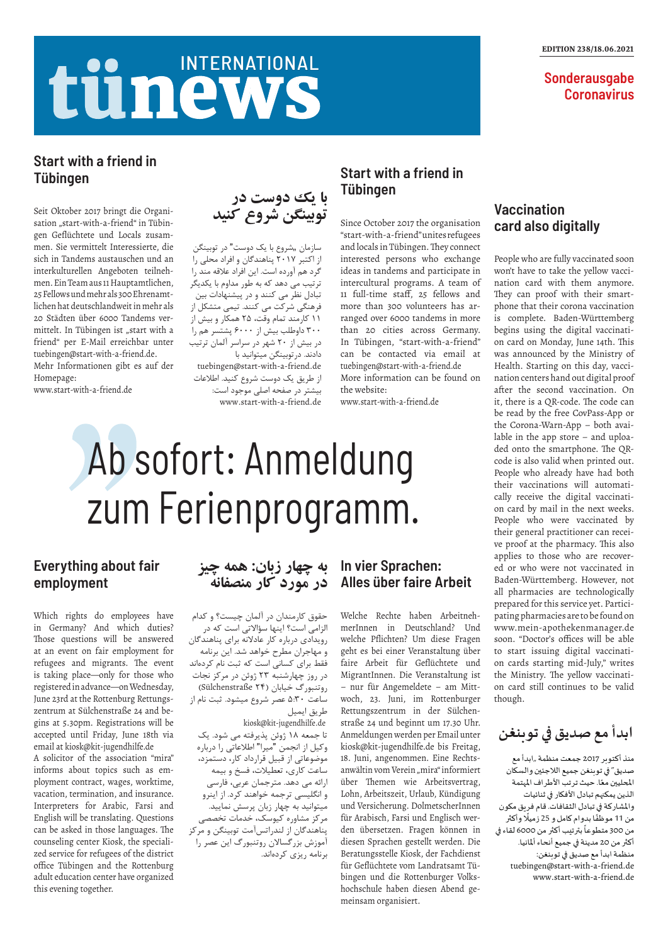## tünews INTERNATIONAL

#### EDITION 238/18.06.2021

**Sonderausgabe Coronavirus** 

# Ab sofort: Anmeldung zum Ferienprogramm.

## **Start with a friend in Tübingen**

Since October 2017 the organisation "start-with-a-friend" unites refugees and locals in Tübingen. They connect interested persons who exchange ideas in tandems and participate in intercultural programs. A team of 11 full-time staff, 25 fellows and more than 300 volunteers has arranged over 6000 tandems in more than 20 cities across Germany. In Tübingen, "start-with-a-friend" can be contacted via email at tuebingen@start-with-a-friend.de More information can be found on the website:

www.start-with-a-friend.de

**ابدأ مع صديق في توبنغن**

سازمان "شروع با یک دوست" در توبینگن از اکتبر ۲۰۱۷ پناهندگان و افراد محلی را گرد هم آورده است. این افراد عالقه مند را ترتیب می دهد که به طور مداوم با یکدیگر تبادل نظر می کنند و در پیشنهادات بین فرهنگی شرکت می کنند. تیمی متشکل از ۱۱ کارمند تمام وقت، ۲۵ همکار و بیش از ۳۰۰ داوطلب بیش از ۶۰۰۰ پشتسر هم را در بیش از ۲۰ شهر در سراسر آلمان ترتیب دادند. درتوبینگن میتوانید با tuebingen@start-with-a-friend.de از طریق یک دوست شروع کنید. اطالعات بیشتر در صفحه اصلی موجود است: www.start-with-a-friend.de

> منذ أكتوبر 2017 جمعت منظمة "ابدأ مع صديق" في توبنغن جميع الالجئين والسكان مت في حجب من مس<br>المحليين معًا. حيث ترتب الأطراف المهتمة الذين يمكنهم تبادل األفكار في ثنائيات واملشاركة في تبادل الثقافات. قام فريق مكون و مسارت ي ببادن التساعات. عام تربي منو<br>من 11 موظفًا بدوام كامل و 25 زميلًا وأكثر ًس ٢٠٠ سوت بترة من صدر و عار ميور و.<br>من 300 متطوعاً بترتيب أكثر من 6000 لقاء في أكثر من 20 مدينة في جميع أنحاء أملانيا. منظمة ابدأ مع صديق في توبنغن: tuebingen@start-with-a-friend.de www.start-with-a-friend.de



### **Start with a friend in Tübingen**

Seit Oktober 2017 bringt die Organisation "start-with-a-friend" in Tübingen Geflüchtete und Locals zusammen. Sie vermittelt Interessierte, die sich in Tandems austauschen und an interkulturellen Angeboten teilnehmen. Ein Team aus 11 Hauptamtlichen, 25 Fellows und mehr als 300 Ehrenamtlichen hat deutschlandweit in mehr als 20 Städten über 6000 Tandems vermittelt. In Tübingen ist "start with a friend" per E-Mail erreichbar unter tuebingen@start-with-a-friend.de. Mehr Informationen gibt es auf der Homepage:

www.start-with-a-friend.de

#### **In vier Sprachen: Alles über faire Arbeit**

Welche Rechte haben ArbeitnehmerInnen in Deutschland? Und welche Pflichten? Um diese Fragen geht es bei einer Veranstaltung über faire Arbeit für Geflüchtete und MigrantInnen. Die Veranstaltung ist – nur für Angemeldete – am Mittwoch, 23. Juni, im Rottenburger Rettungszentrum in der Sülchenstraße 24 und beginnt um 17.30 Uhr. Anmeldungen werden per Email unter kiosk@kit-jugendhilfe.de bis Freitag, 18. Juni, angenommen. Eine Rechtsanwältin vom Verein "mira" informiert über Themen wie Arbeitsvertrag, Lohn, Arbeitszeit, Urlaub, Kündigung und Versicherung. DolmetscherInnen für Arabisch, Farsi und Englisch werden übersetzen. Fragen können in diesen Sprachen gestellt werden. Die Beratungsstelle Kiosk, der Fachdienst für Geflüchtete vom Landratsamt Tübingen und die Rottenburger Volkshochschule haben diesen Abend gemeinsam organisiert.

#### **Everything about fair employment**

Which rights do employees have in Germany? And which duties? Those questions will be answered at an event on fair employment for refugees and migrants. The event is taking place—only for those who registered in advance—on Wednesday, June 23rd at the Rottenburg Rettungszentrum at Sülchenstraße 24 and begins at 5.30pm. Registrations will be accepted until Friday, June 18th via email at kiosk@kit-jugendhilfe.de A solicitor of the association "mira" informs about topics such as employment contract, wages, worktime, vacation, termination, and insurance. Interpreters for Arabic, Farsi and English will be translating. Questions can be asked in those languages. The counseling center Kiosk, the specialized service for refugees of the district office Tübingen and the Rottenburg adult education center have organized this evening together.

#### **Vaccination card also digitally**

People who are fully vaccinated soon won't have to take the yellow vaccination card with them anymore. They can proof with their smartphone that their corona vaccination is complete. Baden-Württemberg begins using the digital vaccination card on Monday, June 14th. This was announced by the Ministry of Health. Starting on this day, vaccination centers hand out digital proof after the second vaccination. On it, there is a QR-code. The code can be read by the free CovPass-App or the Corona-Warn-App – both available in the app store – and uploaded onto the smartphone. The QRcode is also valid when printed out. People who already have had both their vaccinations will automatically receive the digital vaccination card by mail in the next weeks. People who were vaccinated by their general practitioner can receive proof at the pharmacy. This also applies to those who are recovered or who were not vaccinated in Baden-Württemberg. However, not all pharmacies are technologically prepared for this service yet. Participating pharmacies are to be found on www.mein-apothekenmanager.de soon. "Doctor's offices will be able to start issuing digital vaccination cards starting mid-July," writes the Ministry. The yellow vaccination card still continues to be valid though.

### **به چهار زبان: همه چیز در مورد کار منصفانه**

حقوق کارمندان در آلمان چیست؟ و کدام الزامی است؟ اینها سؤاالتی است که در رویدادی درباره کار عادالنه برای پناهندگان و مهاجران مطرح خواهد شد. این برنامه فقط برای کسانی است که ثبت نام کردهاند در روز چهارشنبه ۲۳ ژوئن در مرکز نجات روتنبورگ خیابان )24 Sülchenstraße ) ساعت ۵:۳۰ عصر شروع میشود. ثبت نام از طریق ایمیل kiosk@kit-jugendhilfe.de تا جمعه ۱۸ ژوئن پذیرفته می شود. یک وکیل از انجمن "میرا" اطالعاتی را درباره موضوعاتی از قبیل قرارداد کار، دستمزد، ساعت کاری، تعطیالت، فسخ و بیمه ارائه می دهد. مترجمان عربی، فارسی و انگلیسی ترجمه خواهند کرد. از اینرو میتوانید به چهار زبان پرسش نمایید. مرکز مشاوره کیوسک، خدمات تخصصی پناهندگان از لندراتسآمت توبینگن و مرکز آموزش بزرگساالن روتنبورگ این عصر را برنامه ریزی کردهاند.